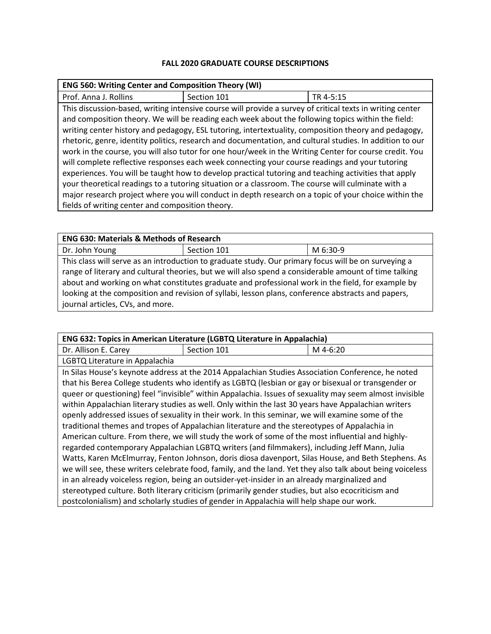## **FALL 2020 GRADUATE COURSE DESCRIPTIONS**

| <b>ENG 560: Writing Center and Composition Theory (WI)</b>                                                |             |           |  |
|-----------------------------------------------------------------------------------------------------------|-------------|-----------|--|
| Prof. Anna J. Rollins                                                                                     | Section 101 | TR 4-5:15 |  |
| This discussion-based, writing intensive course will provide a survey of critical texts in writing center |             |           |  |
| and composition theory. We will be reading each week about the following topics within the field:         |             |           |  |
| writing center history and pedagogy, ESL tutoring, intertextuality, composition theory and pedagogy,      |             |           |  |
| rhetoric, genre, identity politics, research and documentation, and cultural studies. In addition to our  |             |           |  |
| work in the course, you will also tutor for one hour/week in the Writing Center for course credit. You    |             |           |  |
| will complete reflective responses each week connecting your course readings and your tutoring            |             |           |  |
| experiences. You will be taught how to develop practical tutoring and teaching activities that apply      |             |           |  |
| your theoretical readings to a tutoring situation or a classroom. The course will culminate with a        |             |           |  |
| major research project where you will conduct in depth research on a topic of your choice within the      |             |           |  |
| fields of writing center and composition theory.                                                          |             |           |  |

| <b>ENG 630: Materials &amp; Methods of Research</b>                                                   |             |          |  |  |
|-------------------------------------------------------------------------------------------------------|-------------|----------|--|--|
| Dr. John Young                                                                                        | Section 101 | M 6:30-9 |  |  |
| This class will serve as an introduction to graduate study. Our primary focus will be on surveying a  |             |          |  |  |
| range of literary and cultural theories, but we will also spend a considerable amount of time talking |             |          |  |  |
| about and working on what constitutes graduate and professional work in the field, for example by     |             |          |  |  |
| looking at the composition and revision of syllabi, lesson plans, conference abstracts and papers,    |             |          |  |  |
| journal articles, CVs, and more.                                                                      |             |          |  |  |

| ENG 632: Topics in American Literature (LGBTQ Literature in Appalachia)                                   |                                                                                                   |          |  |  |
|-----------------------------------------------------------------------------------------------------------|---------------------------------------------------------------------------------------------------|----------|--|--|
| Dr. Allison E. Carey                                                                                      | Section 101                                                                                       | M 4-6:20 |  |  |
| LGBTQ Literature in Appalachia                                                                            |                                                                                                   |          |  |  |
|                                                                                                           | In Silas House's keynote address at the 2014 Appalachian Studies Association Conference, he noted |          |  |  |
| that his Berea College students who identify as LGBTQ (lesbian or gay or bisexual or transgender or       |                                                                                                   |          |  |  |
| queer or questioning) feel "invisible" within Appalachia. Issues of sexuality may seem almost invisible   |                                                                                                   |          |  |  |
| within Appalachian literary studies as well. Only within the last 30 years have Appalachian writers       |                                                                                                   |          |  |  |
| openly addressed issues of sexuality in their work. In this seminar, we will examine some of the          |                                                                                                   |          |  |  |
| traditional themes and tropes of Appalachian literature and the stereotypes of Appalachia in              |                                                                                                   |          |  |  |
| American culture. From there, we will study the work of some of the most influential and highly-          |                                                                                                   |          |  |  |
| regarded contemporary Appalachian LGBTQ writers (and filmmakers), including Jeff Mann, Julia              |                                                                                                   |          |  |  |
| Watts, Karen McElmurray, Fenton Johnson, doris diosa davenport, Silas House, and Beth Stephens. As        |                                                                                                   |          |  |  |
| we will see, these writers celebrate food, family, and the land. Yet they also talk about being voiceless |                                                                                                   |          |  |  |
| in an already voiceless region, being an outsider-yet-insider in an already marginalized and              |                                                                                                   |          |  |  |
| stereotyped culture. Both literary criticism (primarily gender studies, but also ecocriticism and         |                                                                                                   |          |  |  |
|                                                                                                           | postcolonialism) and scholarly studies of gender in Appalachia will help shape our work.          |          |  |  |